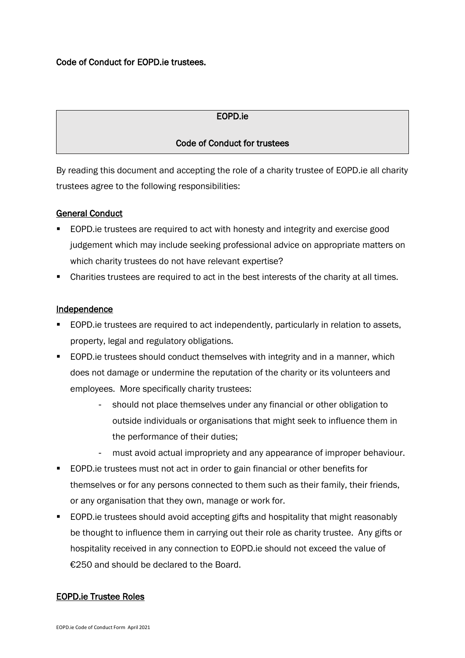# Code of Conduct for EOPD.ie trustees.

## EOPD.ie

## Code of Conduct for trustees

By reading this document and accepting the role of a charity trustee of EOPD.ie all charity trustees agree to the following responsibilities:

### General Conduct

- EOPD.ie trustees are required to act with honesty and integrity and exercise good judgement which may include seeking professional advice on appropriate matters on which charity trustees do not have relevant expertise?
- Charities trustees are required to act in the best interests of the charity at all times.

#### Independence

- EOPD.ie trustees are required to act independently, particularly in relation to assets, property, legal and regulatory obligations.
- EOPD.ie trustees should conduct themselves with integrity and in a manner, which does not damage or undermine the reputation of the charity or its volunteers and employees. More specifically charity trustees:
	- should not place themselves under any financial or other obligation to outside individuals or organisations that might seek to influence them in the performance of their duties;
	- must avoid actual impropriety and any appearance of improper behaviour.
- EOPD.ie trustees must not act in order to gain financial or other benefits for themselves or for any persons connected to them such as their family, their friends, or any organisation that they own, manage or work for.
- EOPD.ie trustees should avoid accepting gifts and hospitality that might reasonably be thought to influence them in carrying out their role as charity trustee. Any gifts or hospitality received in any connection to EOPD.ie should not exceed the value of €250 and should be declared to the Board.

#### EOPD.ie Trustee Roles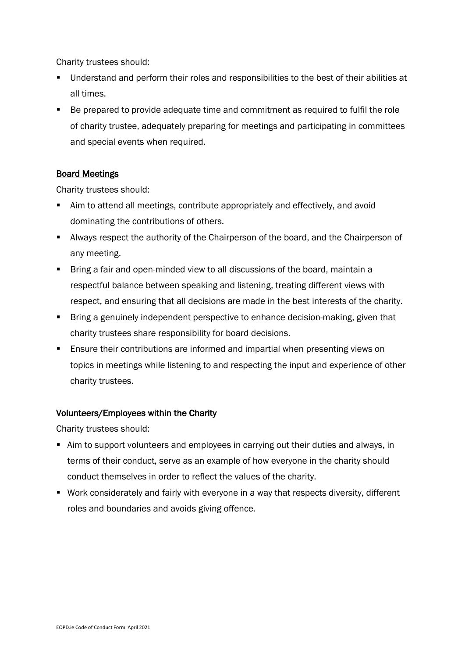Charity trustees should:

- Understand and perform their roles and responsibilities to the best of their abilities at all times.
- Be prepared to provide adequate time and commitment as required to fulfil the role of charity trustee, adequately preparing for meetings and participating in committees and special events when required.

# Board Meetings

Charity trustees should:

- Aim to attend all meetings, contribute appropriately and effectively, and avoid dominating the contributions of others.
- Always respect the authority of the Chairperson of the board, and the Chairperson of any meeting.
- Bring a fair and open-minded view to all discussions of the board, maintain a respectful balance between speaking and listening, treating different views with respect, and ensuring that all decisions are made in the best interests of the charity.
- Bring a genuinely independent perspective to enhance decision-making, given that charity trustees share responsibility for board decisions.
- Ensure their contributions are informed and impartial when presenting views on topics in meetings while listening to and respecting the input and experience of other charity trustees.

## Volunteers/Employees within the Charity

Charity trustees should:

- Aim to support volunteers and employees in carrying out their duties and always, in terms of their conduct, serve as an example of how everyone in the charity should conduct themselves in order to reflect the values of the charity.
- Work considerately and fairly with everyone in a way that respects diversity, different roles and boundaries and avoids giving offence.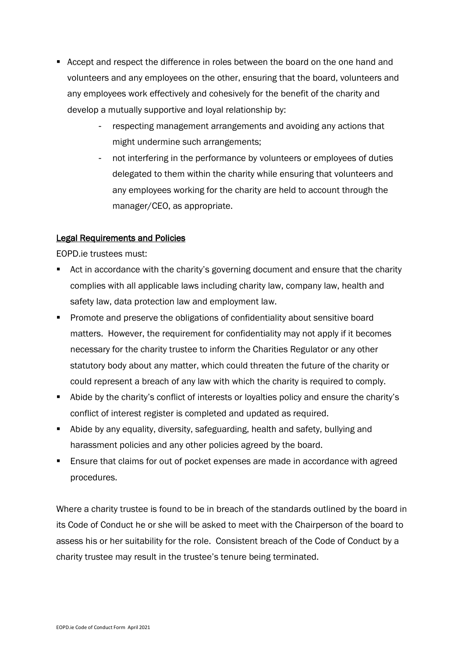- Accept and respect the difference in roles between the board on the one hand and volunteers and any employees on the other, ensuring that the board, volunteers and any employees work effectively and cohesively for the benefit of the charity and develop a mutually supportive and loyal relationship by:
	- respecting management arrangements and avoiding any actions that might undermine such arrangements;
	- not interfering in the performance by volunteers or employees of duties delegated to them within the charity while ensuring that volunteers and any employees working for the charity are held to account through the manager/CEO, as appropriate.

### Legal Requirements and Policies

EOPD.ie trustees must:

- Act in accordance with the charity's governing document and ensure that the charity complies with all applicable laws including charity law, company law, health and safety law, data protection law and employment law.
- Promote and preserve the obligations of confidentiality about sensitive board matters. However, the requirement for confidentiality may not apply if it becomes necessary for the charity trustee to inform the Charities Regulator or any other statutory body about any matter, which could threaten the future of the charity or could represent a breach of any law with which the charity is required to comply.
- Abide by the charity's conflict of interests or loyalties policy and ensure the charity's conflict of interest register is completed and updated as required.
- Abide by any equality, diversity, safeguarding, health and safety, bullying and harassment policies and any other policies agreed by the board.
- Ensure that claims for out of pocket expenses are made in accordance with agreed procedures.

Where a charity trustee is found to be in breach of the standards outlined by the board in its Code of Conduct he or she will be asked to meet with the Chairperson of the board to assess his or her suitability for the role. Consistent breach of the Code of Conduct by a charity trustee may result in the trustee's tenure being terminated.